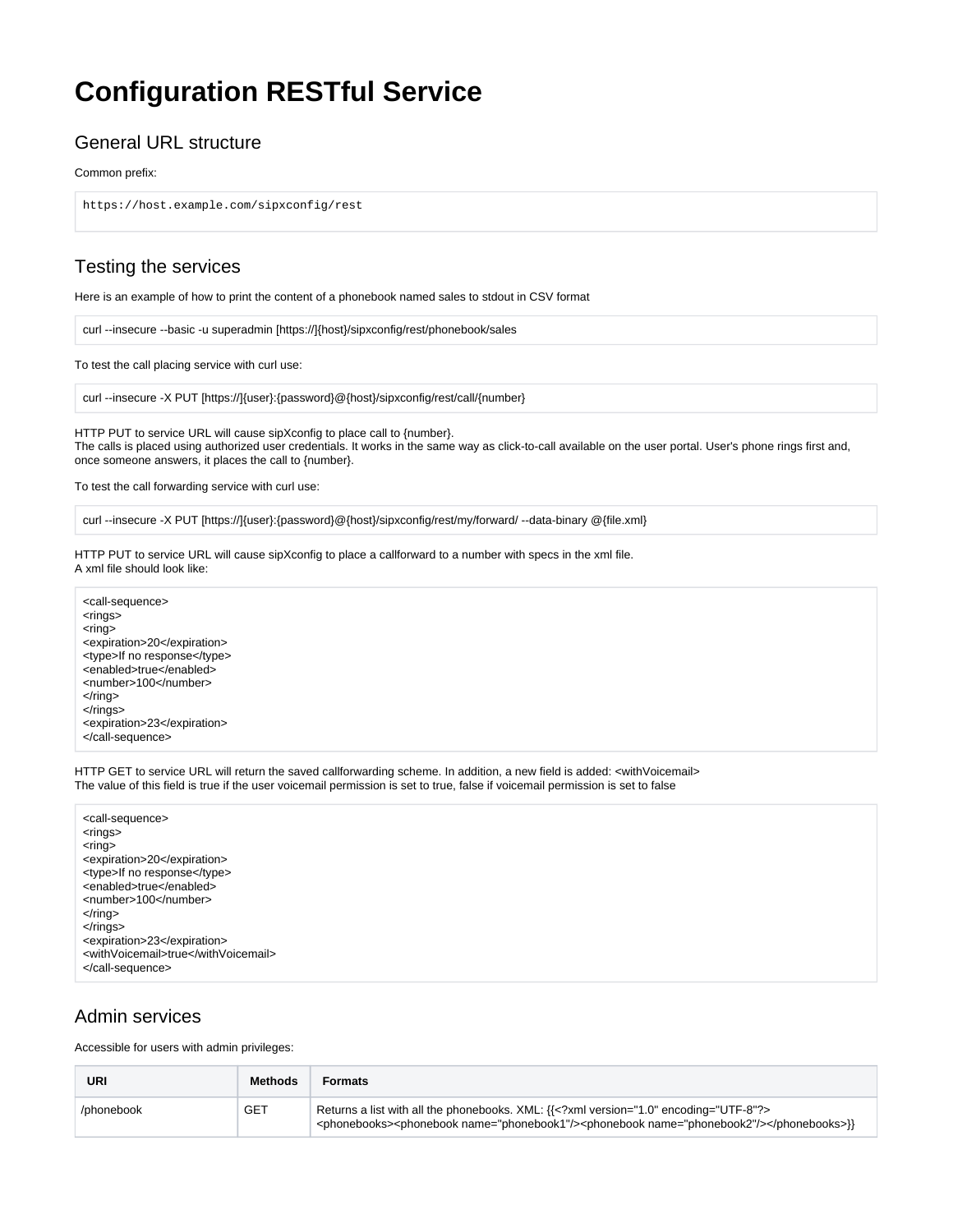## **Configuration RESTful Service**

#### General URL structure

Common prefix:

https://host.example.com/sipxconfig/rest

#### Testing the services

Here is an example of how to print the content of a phonebook named sales to stdout in CSV format

curl --insecure --basic -u superadmin [https://]{host}/sipxconfig/rest/phonebook/sales

To test the call placing service with curl use:

curl --insecure -X PUT [https://]{user}:{password}@{host}/sipxconfig/rest/call/{number}

HTTP PUT to service URL will cause sipXconfig to place call to {number}. The calls is placed using authorized user credentials. It works in the same way as click-to-call available on the user portal. User's phone rings first and, once someone answers, it places the call to {number}.

To test the call forwarding service with curl use:

curl --insecure -X PUT [https://]{user}:{password}@{host}/sipxconfig/rest/my/forward/ --data-binary @{file.xml}

HTTP PUT to service URL will cause sipXconfig to place a callforward to a number with specs in the xml file. A xml file should look like:

<call-sequence> <rings>  $<sub>ring</sub>$ </sub> <expiration>20</expiration> <type>If no response</type> <enabled>true</enabled> <number>100</number>  $\langle$ ring> </rings> <expiration>23</expiration> </call-sequence>

HTTP GET to service URL will return the saved callforwarding scheme. In addition, a new field is added: <withVoicemail> The value of this field is true if the user voicemail permission is set to true, false if voicemail permission is set to false

| <call-sequence></call-sequence>     |
|-------------------------------------|
| <rings></rings>                     |
| <ring></ring>                       |
| <expiration>20</expiration>         |
| <type>If no response</type>         |
| <enabled>true</enabled>             |
| <number>100</number>                |
| $\langle$ ring $>$                  |
| $\langle$ rings>                    |
| <expiration>23</expiration>         |
| <withvoicemail>true</withvoicemail> |
|                                     |
|                                     |

#### Admin services

Accessible for users with admin privileges:

| <b>URI</b> | Methods    | <b>Formats</b>                                                                                                                                                                                        |
|------------|------------|-------------------------------------------------------------------------------------------------------------------------------------------------------------------------------------------------------|
| /phonebook | <b>GET</b> | Returns a list with all the phonebooks. XML: {{ xml version="1.0" encoding="UTF-8"?<br><phonebooks><phonebook name="phonebook1"></phonebook><phonebook name="phonebook2"></phonebook></phonebooks> }} |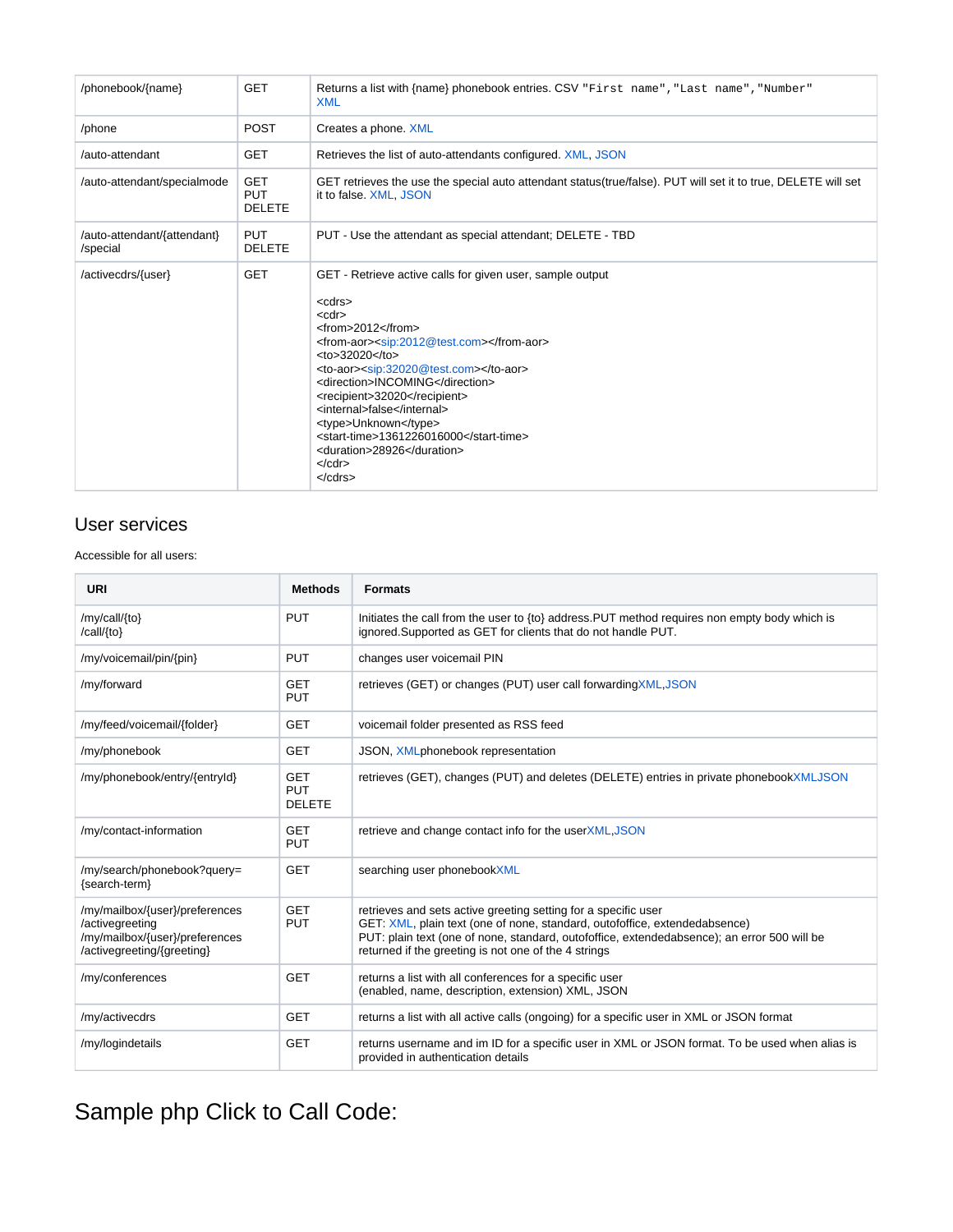| /phonebook/{name}                       | <b>GET</b>                                | Returns a list with {name} phonebook entries. CSV "First name", "Last name", "Number"<br><b>XML</b>                                                                                                                                                                                                                                                                                                                                                                                                                                                                                                                                                        |  |  |  |
|-----------------------------------------|-------------------------------------------|------------------------------------------------------------------------------------------------------------------------------------------------------------------------------------------------------------------------------------------------------------------------------------------------------------------------------------------------------------------------------------------------------------------------------------------------------------------------------------------------------------------------------------------------------------------------------------------------------------------------------------------------------------|--|--|--|
| /phone                                  | <b>POST</b>                               | Creates a phone. XML                                                                                                                                                                                                                                                                                                                                                                                                                                                                                                                                                                                                                                       |  |  |  |
| /auto-attendant                         | <b>GET</b>                                | Retrieves the list of auto-attendants configured. XML, JSON                                                                                                                                                                                                                                                                                                                                                                                                                                                                                                                                                                                                |  |  |  |
| /auto-attendant/specialmode             | <b>GET</b><br><b>PUT</b><br><b>DELETE</b> | GET retrieves the use the special auto attendant status(true/false). PUT will set it to true, DELETE will set<br>it to false. XML, JSON                                                                                                                                                                                                                                                                                                                                                                                                                                                                                                                    |  |  |  |
| /auto-attendant/{attendant}<br>/special | <b>PUT</b><br><b>DELETE</b>               | PUT - Use the attendant as special attendant; DELETE - TBD                                                                                                                                                                                                                                                                                                                                                                                                                                                                                                                                                                                                 |  |  |  |
| /activecdrs/{user}                      | <b>GET</b>                                | GET - Retrieve active calls for given user, sample output<br><cdrs><br/><math>&lt;</math>cdr<math>&gt;</math><br/><math>&lt;</math>from&gt;2012<math>&lt;</math>/from&gt;<br/><from-aor><sip:2012@test.com></sip:2012@test.com></from-aor><br/><math>&lt;</math>to&gt;32020<math>&lt;</math>/to&gt;<br/><to-aor><sip:32020@test.com></sip:32020@test.com></to-aor><br/><direction>INCOMING</direction><br/><recipient>32020</recipient><br/><internal>false</internal><br/><type>Unknown</type><br/><start-time>1361226016000</start-time><br/><duration>28926</duration><br/><math>&lt;</math>/cdr&gt;<br/><math>&lt;</math>/cdrs<math>&gt;</math></cdrs> |  |  |  |

#### User services

Accessible for all users:

| <b>URI</b>                                                                                                        | <b>Methods</b>                            | <b>Formats</b>                                                                                                                                                                                                                                                                                      |
|-------------------------------------------------------------------------------------------------------------------|-------------------------------------------|-----------------------------------------------------------------------------------------------------------------------------------------------------------------------------------------------------------------------------------------------------------------------------------------------------|
| /my/call/{to}<br>/call/{to}                                                                                       | <b>PUT</b>                                | Initiates the call from the user to {to} address. PUT method requires non empty body which is<br>ignored. Supported as GET for clients that do not handle PUT.                                                                                                                                      |
| /my/voicemail/pin/{pin}                                                                                           | <b>PUT</b>                                | changes user voicemail PIN                                                                                                                                                                                                                                                                          |
| /my/forward                                                                                                       | <b>GET</b><br><b>PUT</b>                  | retrieves (GET) or changes (PUT) user call forwarding XML, JSON                                                                                                                                                                                                                                     |
| /my/feed/voicemail/{folder}                                                                                       | <b>GET</b>                                | voicemail folder presented as RSS feed                                                                                                                                                                                                                                                              |
| /my/phonebook                                                                                                     | <b>GET</b>                                | JSON, XMLphonebook representation                                                                                                                                                                                                                                                                   |
| /my/phonebook/entry/{entryId}                                                                                     | <b>GET</b><br><b>PUT</b><br><b>DELETE</b> | retrieves (GET), changes (PUT) and deletes (DELETE) entries in private phonebookXMLJSON                                                                                                                                                                                                             |
| /my/contact-information                                                                                           | <b>GET</b><br><b>PUT</b>                  | retrieve and change contact info for the userXML, JSON                                                                                                                                                                                                                                              |
| /my/search/phonebook?query=<br>{search-term}                                                                      | <b>GET</b>                                | searching user phonebookXML                                                                                                                                                                                                                                                                         |
| /my/mailbox/{user}/preferences<br>/activegreeting<br>/my/mailbox/{user}/preferences<br>/activegreeting/{greeting} | <b>GET</b><br><b>PUT</b>                  | retrieves and sets active greeting setting for a specific user<br>GET: XML, plain text (one of none, standard, outofoffice, extendedabsence)<br>PUT: plain text (one of none, standard, outofoffice, extendedabsence); an error 500 will be<br>returned if the greeting is not one of the 4 strings |
| /my/conferences                                                                                                   | <b>GET</b>                                | returns a list with all conferences for a specific user<br>(enabled, name, description, extension) XML, JSON                                                                                                                                                                                        |
| /my/activecdrs                                                                                                    | <b>GET</b>                                | returns a list with all active calls (ongoing) for a specific user in XML or JSON format                                                                                                                                                                                                            |
| /my/logindetails                                                                                                  | <b>GET</b>                                | returns username and im ID for a specific user in XML or JSON format. To be used when alias is<br>provided in authentication details                                                                                                                                                                |

# Sample php Click to Call Code: